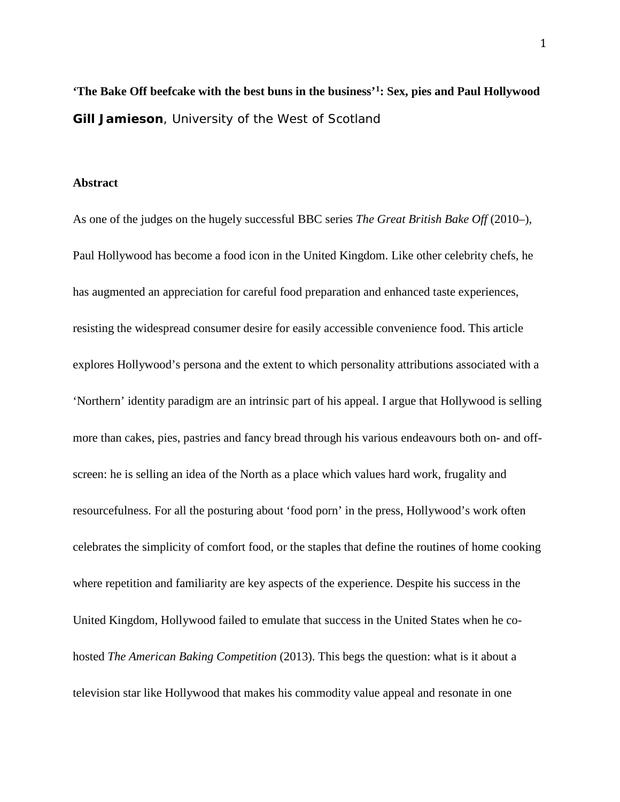**'The Bake Off beefcake with the best buns in the business'[1](#page-15-0): Sex, pies and Paul Hollywood Gill Jamieson**, University of the West of Scotland

#### **Abstract**

As one of the judges on the hugely successful BBC series *The Great British Bake Off* (2010–), Paul Hollywood has become a food icon in the United Kingdom. Like other celebrity chefs, he has augmented an appreciation for careful food preparation and enhanced taste experiences, resisting the widespread consumer desire for easily accessible convenience food. This article explores Hollywood's persona and the extent to which personality attributions associated with a 'Northern' identity paradigm are an intrinsic part of his appeal. I argue that Hollywood is selling more than cakes, pies, pastries and fancy bread through his various endeavours both on- and offscreen: he is selling an idea of the North as a place which values hard work, frugality and resourcefulness. For all the posturing about 'food porn' in the press, Hollywood's work often celebrates the simplicity of comfort food, or the staples that define the routines of home cooking where repetition and familiarity are key aspects of the experience. Despite his success in the United Kingdom, Hollywood failed to emulate that success in the United States when he cohosted *The American Baking Competition* (2013). This begs the question: what is it about a television star like Hollywood that makes his commodity value appeal and resonate in one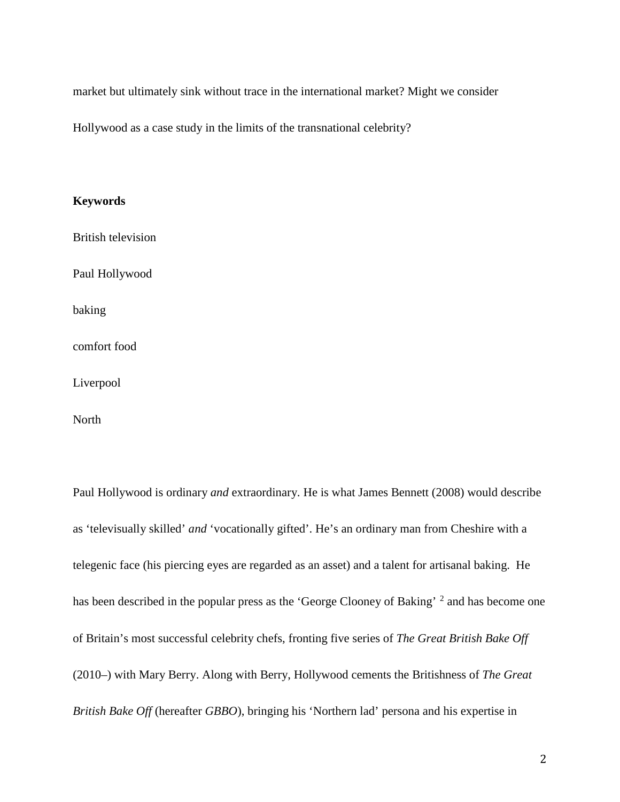market but ultimately sink without trace in the international market? Might we consider

Hollywood as a case study in the limits of the transnational celebrity?

## **Keywords**

British television

Paul Hollywood

baking

comfort food

Liverpool

North

Paul Hollywood is ordinary *and* extraordinary. He is what James Bennett (2008) would describe as 'televisually skilled' *and* 'vocationally gifted'. He's an ordinary man from Cheshire with a telegenic face (his piercing eyes are regarded as an asset) and a talent for artisanal baking. He has been described in the popular press as the 'George Clooney of Baking' <sup>[2](#page-15-1)</sup> and has become one of Britain's most successful celebrity chefs, fronting five series of *The Great British Bake Off* (2010–) with Mary Berry. Along with Berry, Hollywood cements the Britishness of *The Great British Bake Off* (hereafter *GBBO*), bringing his 'Northern lad' persona and his expertise in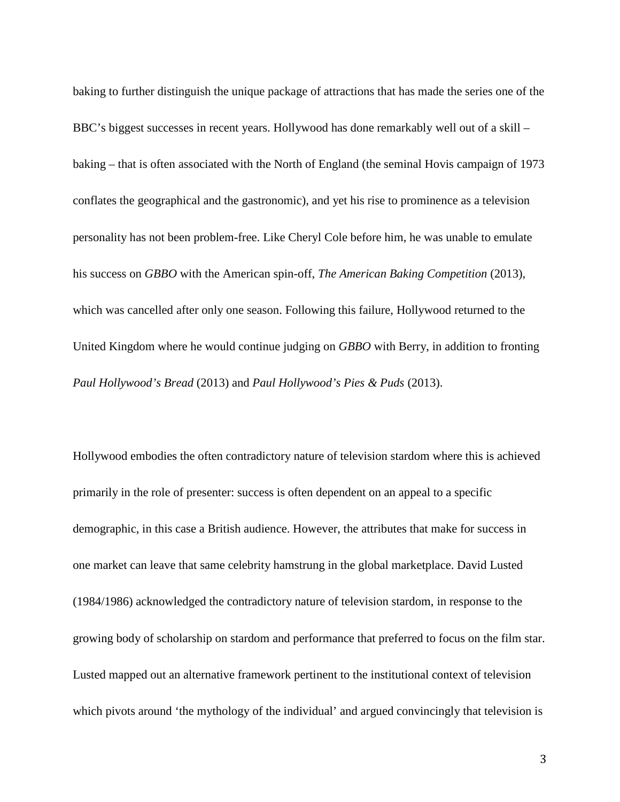baking to further distinguish the unique package of attractions that has made the series one of the BBC's biggest successes in recent years. Hollywood has done remarkably well out of a skill – baking – that is often associated with the North of England (the seminal Hovis campaign of 1973 conflates the geographical and the gastronomic), and yet his rise to prominence as a television personality has not been problem-free. Like Cheryl Cole before him, he was unable to emulate his success on *GBBO* with the American spin-off, *The American Baking Competition* (2013), which was cancelled after only one season. Following this failure, Hollywood returned to the United Kingdom where he would continue judging on *GBBO* with Berry, in addition to fronting *Paul Hollywood's Bread* (2013) and *Paul Hollywood's Pies & Puds* (2013).

Hollywood embodies the often contradictory nature of television stardom where this is achieved primarily in the role of presenter: success is often dependent on an appeal to a specific demographic, in this case a British audience. However, the attributes that make for success in one market can leave that same celebrity hamstrung in the global marketplace. David Lusted (1984/1986) acknowledged the contradictory nature of television stardom, in response to the growing body of scholarship on stardom and performance that preferred to focus on the film star. Lusted mapped out an alternative framework pertinent to the institutional context of television which pivots around 'the mythology of the individual' and argued convincingly that television is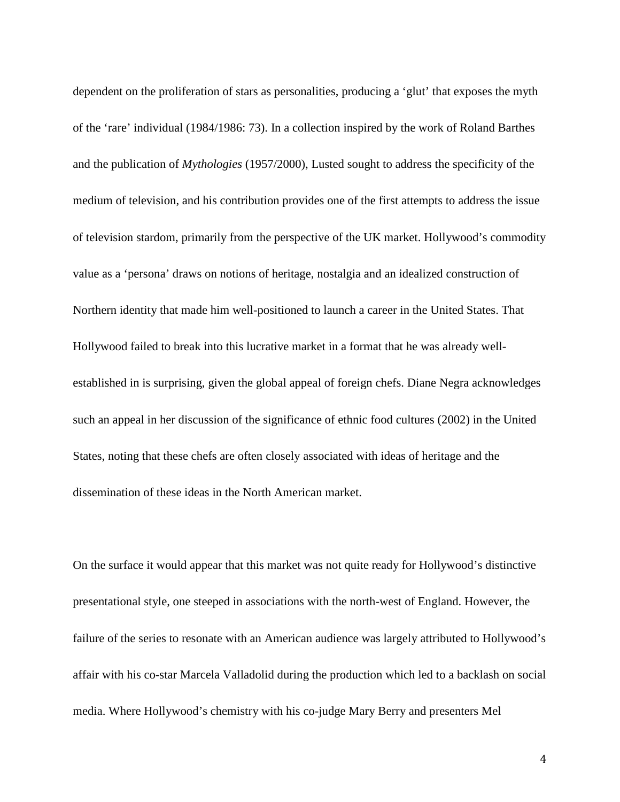dependent on the proliferation of stars as personalities, producing a 'glut' that exposes the myth of the 'rare' individual (1984/1986: 73). In a collection inspired by the work of Roland Barthes and the publication of *Mythologies* (1957/2000), Lusted sought to address the specificity of the medium of television, and his contribution provides one of the first attempts to address the issue of television stardom, primarily from the perspective of the UK market. Hollywood's commodity value as a 'persona' draws on notions of heritage, nostalgia and an idealized construction of Northern identity that made him well-positioned to launch a career in the United States. That Hollywood failed to break into this lucrative market in a format that he was already wellestablished in is surprising, given the global appeal of foreign chefs. Diane Negra acknowledges such an appeal in her discussion of the significance of ethnic food cultures (2002) in the United States, noting that these chefs are often closely associated with ideas of heritage and the dissemination of these ideas in the North American market.

On the surface it would appear that this market was not quite ready for Hollywood's distinctive presentational style, one steeped in associations with the north-west of England. However, the failure of the series to resonate with an American audience was largely attributed to Hollywood's affair with his co-star Marcela Valladolid during the production which led to a backlash on social media. Where Hollywood's chemistry with his co-judge Mary Berry and presenters Mel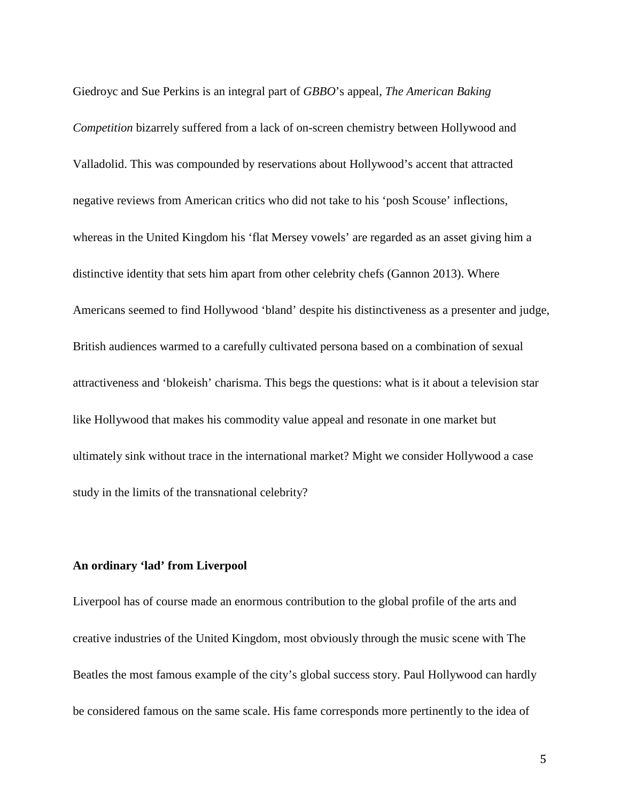Giedroyc and Sue Perkins is an integral part of *GBBO*'s appeal, *The American Baking Competition* bizarrely suffered from a lack of on-screen chemistry between Hollywood and Valladolid. This was compounded by reservations about Hollywood's accent that attracted negative reviews from American critics who did not take to his 'posh Scouse' inflections, whereas in the United Kingdom his 'flat Mersey vowels' are regarded as an asset giving him a distinctive identity that sets him apart from other celebrity chefs (Gannon 2013). Where Americans seemed to find Hollywood 'bland' despite his distinctiveness as a presenter and judge, British audiences warmed to a carefully cultivated persona based on a combination of sexual attractiveness and 'blokeish' charisma. This begs the questions: what is it about a television star like Hollywood that makes his commodity value appeal and resonate in one market but ultimately sink without trace in the international market? Might we consider Hollywood a case study in the limits of the transnational celebrity?

## **An ordinary 'lad' from Liverpool**

Liverpool has of course made an enormous contribution to the global profile of the arts and creative industries of the United Kingdom, most obviously through the music scene with The Beatles the most famous example of the city's global success story. Paul Hollywood can hardly be considered famous on the same scale. His fame corresponds more pertinently to the idea of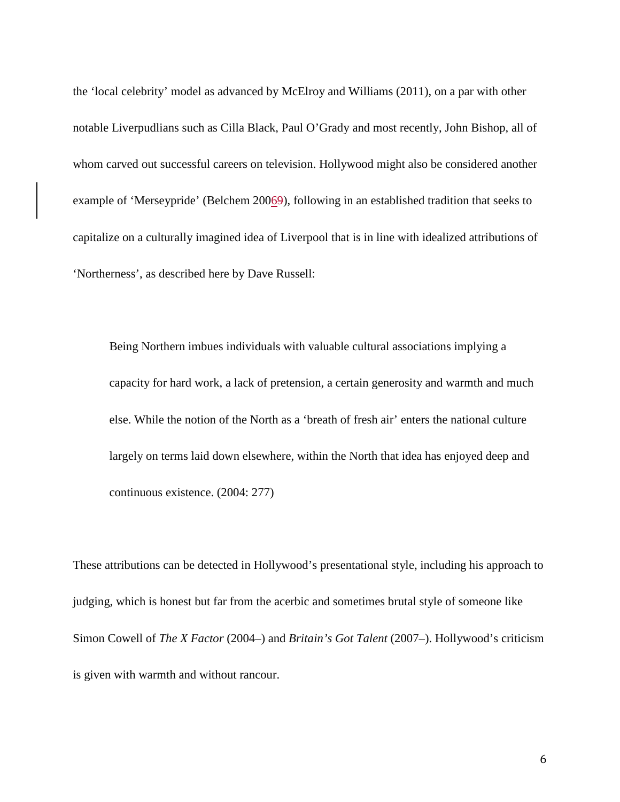the 'local celebrity' model as advanced by McElroy and Williams (2011), on a par with other notable Liverpudlians such as Cilla Black, Paul O'Grady and most recently, John Bishop, all of whom carved out successful careers on television. Hollywood might also be considered another example of 'Merseypride' (Belchem 20069), following in an established tradition that seeks to capitalize on a culturally imagined idea of Liverpool that is in line with idealized attributions of 'Northerness', as described here by Dave Russell:

Being Northern imbues individuals with valuable cultural associations implying a capacity for hard work, a lack of pretension, a certain generosity and warmth and much else. While the notion of the North as a 'breath of fresh air' enters the national culture largely on terms laid down elsewhere, within the North that idea has enjoyed deep and continuous existence. (2004: 277)

These attributions can be detected in Hollywood's presentational style, including his approach to judging, which is honest but far from the acerbic and sometimes brutal style of someone like Simon Cowell of *The X Factor* (2004–) and *Britain's Got Talent* (2007–). Hollywood's criticism is given with warmth and without rancour.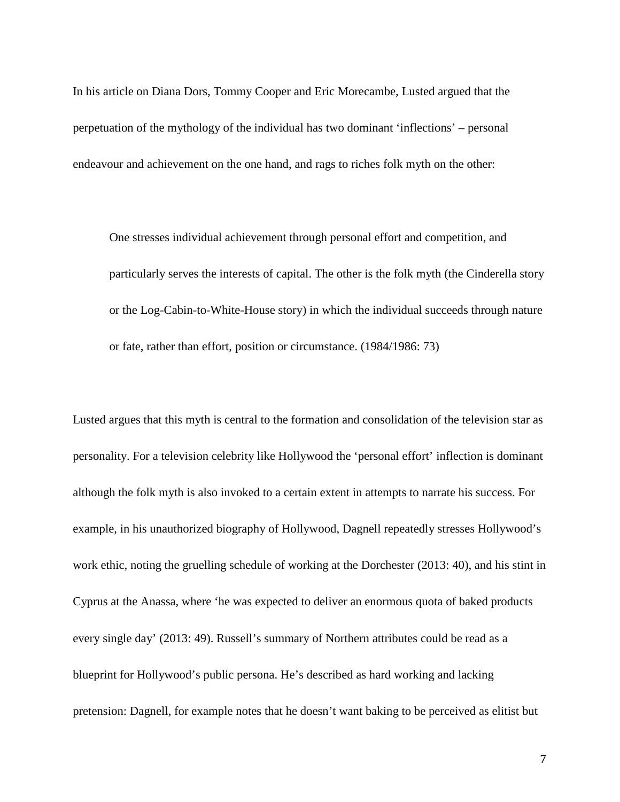In his article on Diana Dors, Tommy Cooper and Eric Morecambe, Lusted argued that the perpetuation of the mythology of the individual has two dominant 'inflections' – personal endeavour and achievement on the one hand, and rags to riches folk myth on the other:

One stresses individual achievement through personal effort and competition, and particularly serves the interests of capital. The other is the folk myth (the Cinderella story or the Log-Cabin-to-White-House story) in which the individual succeeds through nature or fate, rather than effort, position or circumstance. (1984/1986: 73)

Lusted argues that this myth is central to the formation and consolidation of the television star as personality. For a television celebrity like Hollywood the 'personal effort' inflection is dominant although the folk myth is also invoked to a certain extent in attempts to narrate his success. For example, in his unauthorized biography of Hollywood, Dagnell repeatedly stresses Hollywood's work ethic, noting the gruelling schedule of working at the Dorchester (2013: 40), and his stint in Cyprus at the Anassa, where 'he was expected to deliver an enormous quota of baked products every single day' (2013: 49). Russell's summary of Northern attributes could be read as a blueprint for Hollywood's public persona. He's described as hard working and lacking pretension: Dagnell, for example notes that he doesn't want baking to be perceived as elitist but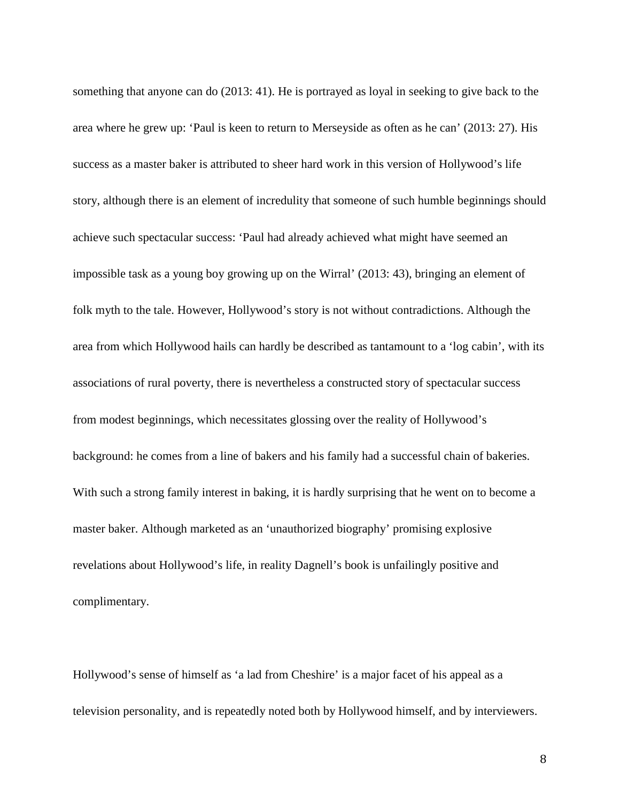something that anyone can do (2013: 41). He is portrayed as loyal in seeking to give back to the area where he grew up: 'Paul is keen to return to Merseyside as often as he can' (2013: 27). His success as a master baker is attributed to sheer hard work in this version of Hollywood's life story, although there is an element of incredulity that someone of such humble beginnings should achieve such spectacular success: 'Paul had already achieved what might have seemed an impossible task as a young boy growing up on the Wirral' (2013: 43), bringing an element of folk myth to the tale. However, Hollywood's story is not without contradictions. Although the area from which Hollywood hails can hardly be described as tantamount to a 'log cabin', with its associations of rural poverty, there is nevertheless a constructed story of spectacular success from modest beginnings, which necessitates glossing over the reality of Hollywood's background: he comes from a line of bakers and his family had a successful chain of bakeries. With such a strong family interest in baking, it is hardly surprising that he went on to become a master baker. Although marketed as an 'unauthorized biography' promising explosive revelations about Hollywood's life, in reality Dagnell's book is unfailingly positive and complimentary.

Hollywood's sense of himself as 'a lad from Cheshire' is a major facet of his appeal as a television personality, and is repeatedly noted both by Hollywood himself, and by interviewers.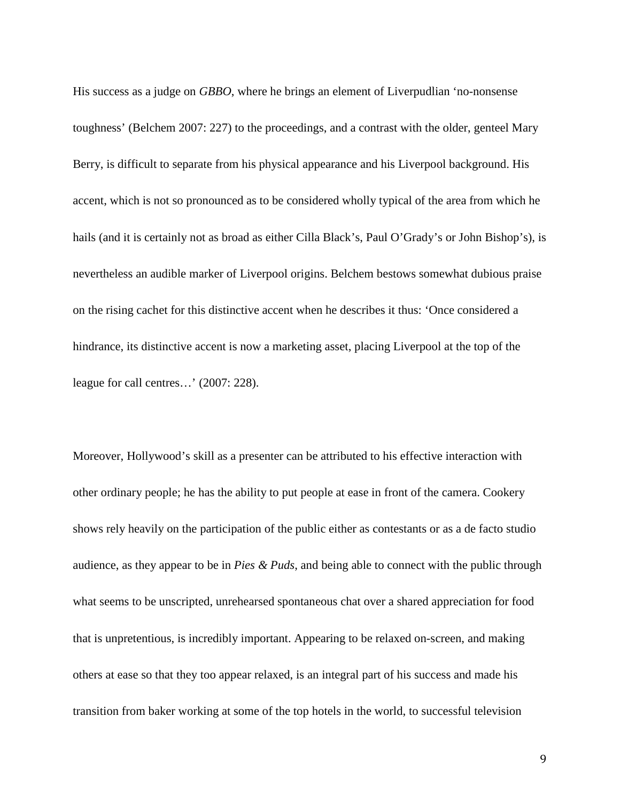His success as a judge on *GBBO*, where he brings an element of Liverpudlian 'no-nonsense toughness' (Belchem 2007: 227) to the proceedings, and a contrast with the older, genteel Mary Berry, is difficult to separate from his physical appearance and his Liverpool background. His accent, which is not so pronounced as to be considered wholly typical of the area from which he hails (and it is certainly not as broad as either Cilla Black's, Paul O'Grady's or John Bishop's), is nevertheless an audible marker of Liverpool origins. Belchem bestows somewhat dubious praise on the rising cachet for this distinctive accent when he describes it thus: 'Once considered a hindrance, its distinctive accent is now a marketing asset, placing Liverpool at the top of the league for call centres…' (2007: 228).

Moreover, Hollywood's skill as a presenter can be attributed to his effective interaction with other ordinary people; he has the ability to put people at ease in front of the camera. Cookery shows rely heavily on the participation of the public either as contestants or as a de facto studio audience, as they appear to be in *Pies & Puds*, and being able to connect with the public through what seems to be unscripted, unrehearsed spontaneous chat over a shared appreciation for food that is unpretentious, is incredibly important. Appearing to be relaxed on-screen, and making others at ease so that they too appear relaxed, is an integral part of his success and made his transition from baker working at some of the top hotels in the world, to successful television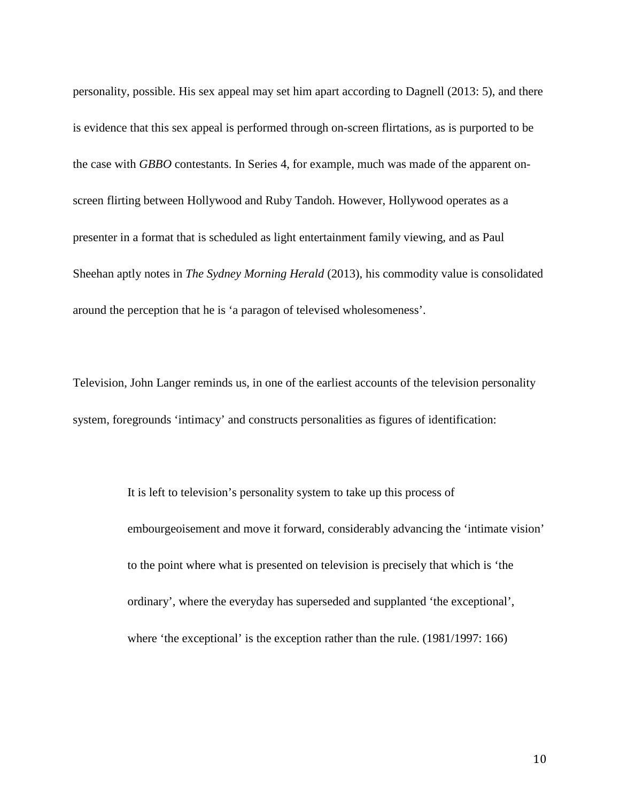personality, possible. His sex appeal may set him apart according to Dagnell (2013: 5), and there is evidence that this sex appeal is performed through on-screen flirtations, as is purported to be the case with *GBBO* contestants. In Series 4, for example, much was made of the apparent onscreen flirting between Hollywood and Ruby Tandoh. However, Hollywood operates as a presenter in a format that is scheduled as light entertainment family viewing, and as Paul Sheehan aptly notes in *The Sydney Morning Herald* (2013), his commodity value is consolidated around the perception that he is 'a paragon of televised wholesomeness'.

Television, John Langer reminds us, in one of the earliest accounts of the television personality system, foregrounds 'intimacy' and constructs personalities as figures of identification:

> It is left to television's personality system to take up this process of embourgeoisement and move it forward, considerably advancing the 'intimate vision' to the point where what is presented on television is precisely that which is 'the ordinary', where the everyday has superseded and supplanted 'the exceptional', where 'the exceptional' is the exception rather than the rule. (1981/1997: 166)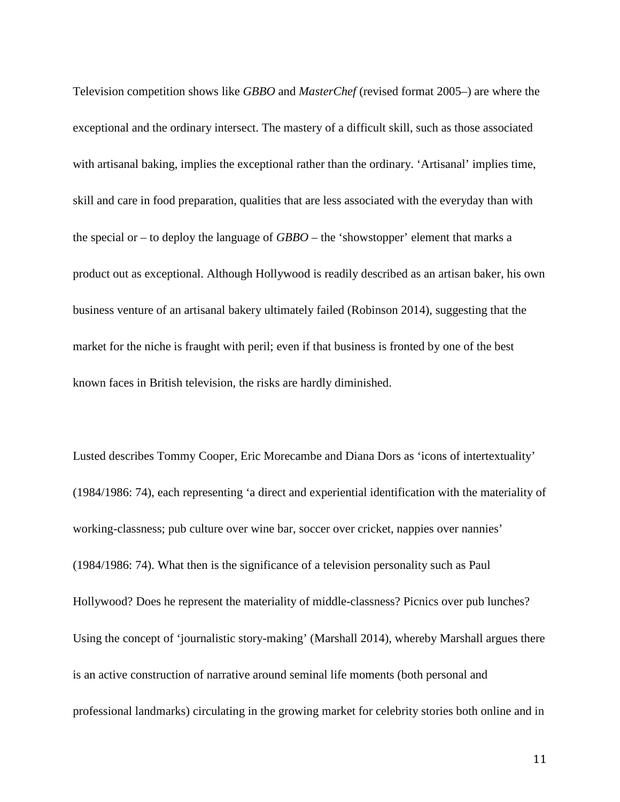Television competition shows like *GBBO* and *MasterChef* (revised format 2005–) are where the exceptional and the ordinary intersect. The mastery of a difficult skill, such as those associated with artisanal baking, implies the exceptional rather than the ordinary. 'Artisanal' implies time, skill and care in food preparation, qualities that are less associated with the everyday than with the special or – to deploy the language of *GBBO* – the 'showstopper' element that marks a product out as exceptional. Although Hollywood is readily described as an artisan baker, his own business venture of an artisanal bakery ultimately failed (Robinson 2014), suggesting that the market for the niche is fraught with peril; even if that business is fronted by one of the best known faces in British television, the risks are hardly diminished.

Lusted describes Tommy Cooper, Eric Morecambe and Diana Dors as 'icons of intertextuality' (1984/1986: 74), each representing 'a direct and experiential identification with the materiality of working-classness; pub culture over wine bar, soccer over cricket, nappies over nannies' (1984/1986: 74). What then is the significance of a television personality such as Paul Hollywood? Does he represent the materiality of middle-classness? Picnics over pub lunches? Using the concept of 'journalistic story-making' (Marshall 2014), whereby Marshall argues there is an active construction of narrative around seminal life moments (both personal and professional landmarks) circulating in the growing market for celebrity stories both online and in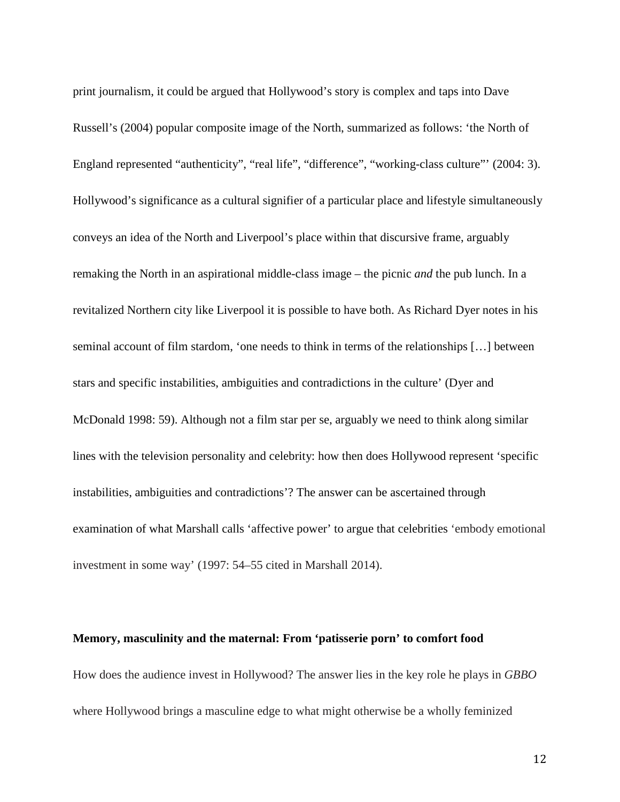print journalism, it could be argued that Hollywood's story is complex and taps into Dave Russell's (2004) popular composite image of the North, summarized as follows: 'the North of England represented "authenticity", "real life", "difference", "working-class culture"' (2004: 3). Hollywood's significance as a cultural signifier of a particular place and lifestyle simultaneously conveys an idea of the North and Liverpool's place within that discursive frame, arguably remaking the North in an aspirational middle-class image – the picnic *and* the pub lunch. In a revitalized Northern city like Liverpool it is possible to have both. As Richard Dyer notes in his seminal account of film stardom, 'one needs to think in terms of the relationships […] between stars and specific instabilities, ambiguities and contradictions in the culture' (Dyer and McDonald 1998: 59). Although not a film star per se, arguably we need to think along similar lines with the television personality and celebrity: how then does Hollywood represent 'specific instabilities, ambiguities and contradictions'? The answer can be ascertained through examination of what Marshall calls 'affective power' to argue that celebrities 'embody emotional investment in some way' (1997: 54–55 cited in Marshall 2014).

#### **Memory, masculinity and the maternal: From 'patisserie porn' to comfort food**

How does the audience invest in Hollywood? The answer lies in the key role he plays in *GBBO* where Hollywood brings a masculine edge to what might otherwise be a wholly feminized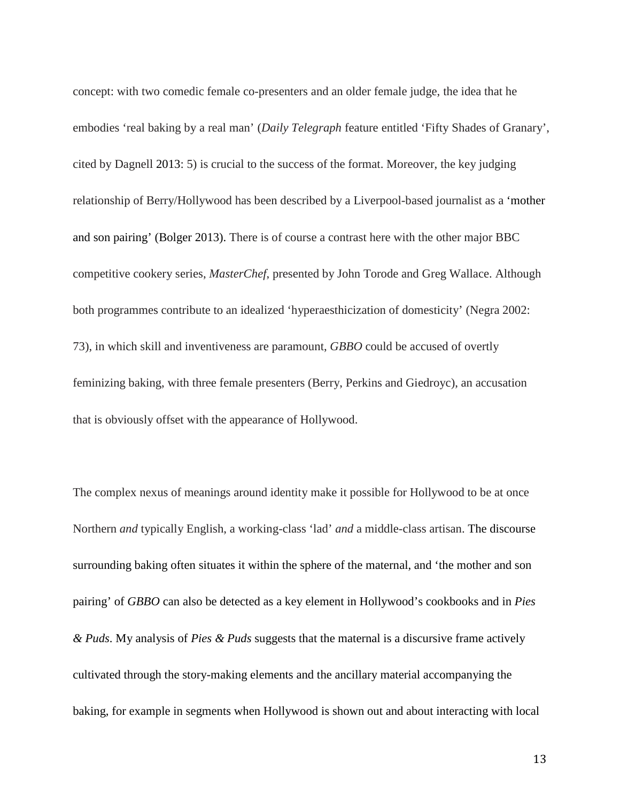concept: with two comedic female co-presenters and an older female judge, the idea that he embodies 'real baking by a real man' (*Daily Telegraph* feature entitled 'Fifty Shades of Granary', cited by Dagnell 2013: 5) is crucial to the success of the format. Moreover, the key judging relationship of Berry/Hollywood has been described by a Liverpool-based journalist as a 'mother and son pairing' (Bolger 2013). There is of course a contrast here with the other major BBC competitive cookery series, *MasterChef*, presented by John Torode and Greg Wallace. Although both programmes contribute to an idealized 'hyperaesthicization of domesticity' (Negra 2002: 73), in which skill and inventiveness are paramount, *GBBO* could be accused of overtly feminizing baking, with three female presenters (Berry, Perkins and Giedroyc), an accusation that is obviously offset with the appearance of Hollywood.

The complex nexus of meanings around identity make it possible for Hollywood to be at once Northern *and* typically English, a working-class 'lad' *and* a middle-class artisan. The discourse surrounding baking often situates it within the sphere of the maternal, and 'the mother and son pairing' of *GBBO* can also be detected as a key element in Hollywood's cookbooks and in *Pies & Puds*. My analysis of *Pies & Puds* suggests that the maternal is a discursive frame actively cultivated through the story-making elements and the ancillary material accompanying the baking, for example in segments when Hollywood is shown out and about interacting with local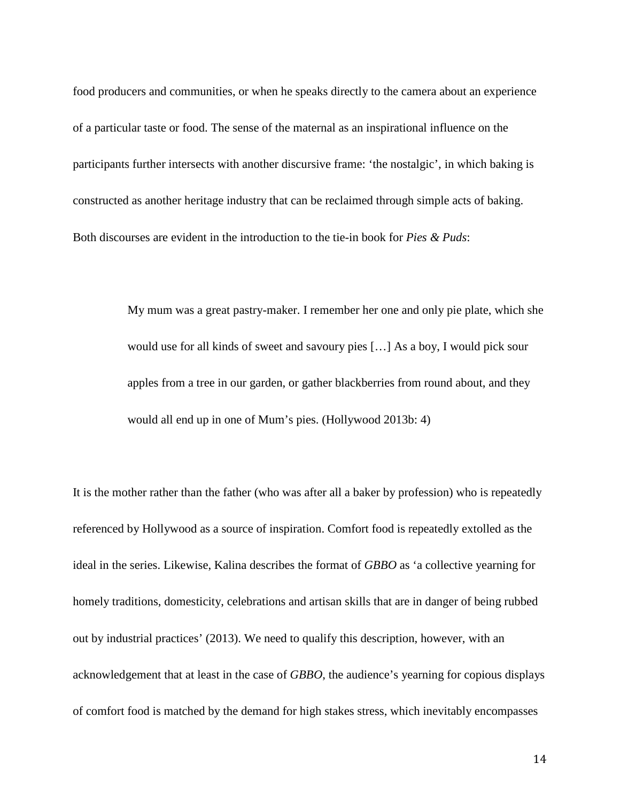food producers and communities, or when he speaks directly to the camera about an experience of a particular taste or food. The sense of the maternal as an inspirational influence on the participants further intersects with another discursive frame: 'the nostalgic', in which baking is constructed as another heritage industry that can be reclaimed through simple acts of baking. Both discourses are evident in the introduction to the tie-in book for *Pies & Puds*:

> My mum was a great pastry-maker. I remember her one and only pie plate, which she would use for all kinds of sweet and savoury pies […] As a boy, I would pick sour apples from a tree in our garden, or gather blackberries from round about, and they would all end up in one of Mum's pies. (Hollywood 2013b: 4)

It is the mother rather than the father (who was after all a baker by profession) who is repeatedly referenced by Hollywood as a source of inspiration. Comfort food is repeatedly extolled as the ideal in the series. Likewise, Kalina describes the format of *GBBO* as 'a collective yearning for homely traditions, domesticity, celebrations and artisan skills that are in danger of being rubbed out by industrial practices' (2013). We need to qualify this description, however, with an acknowledgement that at least in the case of *GBBO*, the audience's yearning for copious displays of comfort food is matched by the demand for high stakes stress, which inevitably encompasses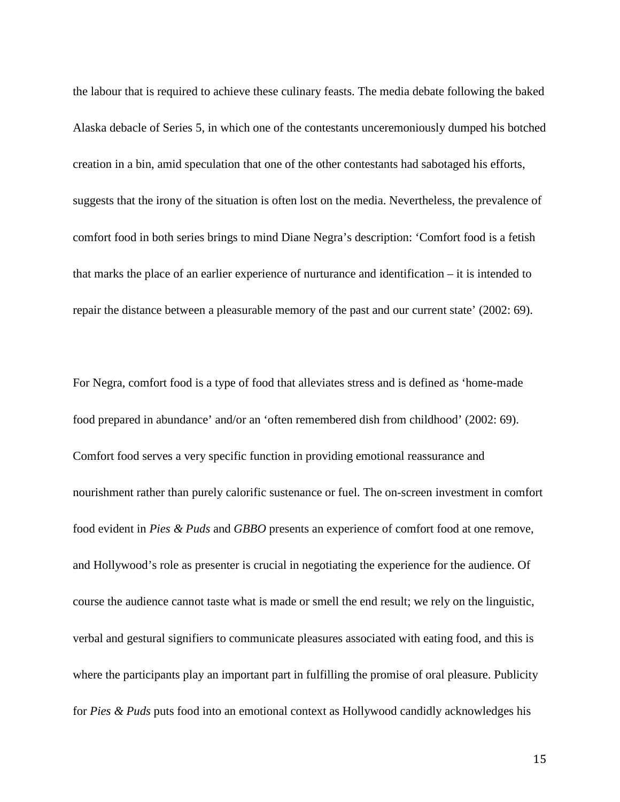the labour that is required to achieve these culinary feasts. The media debate following the baked Alaska debacle of Series 5, in which one of the contestants unceremoniously dumped his botched creation in a bin, amid speculation that one of the other contestants had sabotaged his efforts, suggests that the irony of the situation is often lost on the media. Nevertheless, the prevalence of comfort food in both series brings to mind Diane Negra's description: 'Comfort food is a fetish that marks the place of an earlier experience of nurturance and identification – it is intended to repair the distance between a pleasurable memory of the past and our current state' (2002: 69).

For Negra, comfort food is a type of food that alleviates stress and is defined as 'home-made food prepared in abundance' and/or an 'often remembered dish from childhood' (2002: 69). Comfort food serves a very specific function in providing emotional reassurance and nourishment rather than purely calorific sustenance or fuel. The on-screen investment in comfort food evident in *Pies & Puds* and *GBBO* presents an experience of comfort food at one remove, and Hollywood's role as presenter is crucial in negotiating the experience for the audience. Of course the audience cannot taste what is made or smell the end result; we rely on the linguistic, verbal and gestural signifiers to communicate pleasures associated with eating food, and this is where the participants play an important part in fulfilling the promise of oral pleasure. Publicity for *Pies & Puds* puts food into an emotional context as Hollywood candidly acknowledges his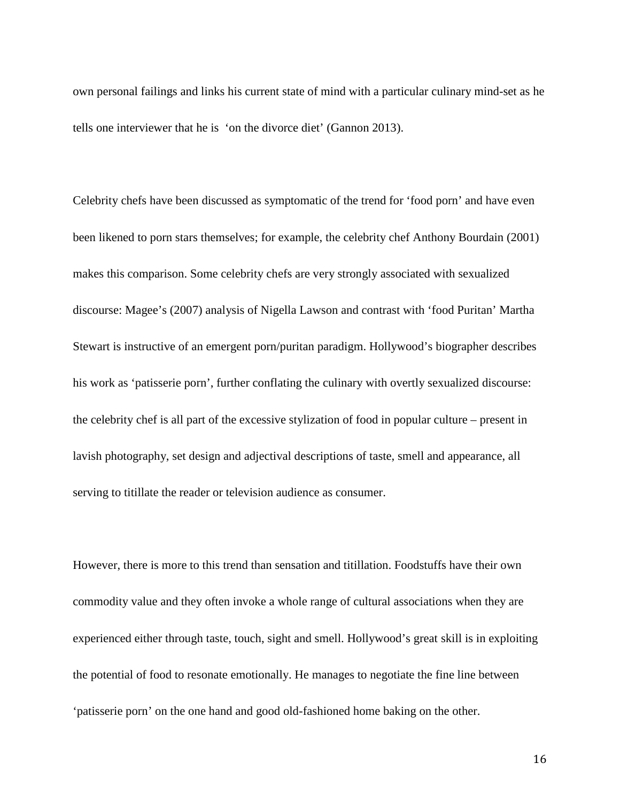own personal failings and links his current state of mind with a particular culinary mind-set as he tells one interviewer that he is 'on the divorce diet' (Gannon 2013).

<span id="page-15-1"></span><span id="page-15-0"></span>Celebrity chefs have been discussed as symptomatic of the trend for 'food porn' and have even been likened to porn stars themselves; for example, the celebrity chef Anthony Bourdain (2001) makes this comparison. Some celebrity chefs are very strongly associated with sexualized discourse: Magee's (2007) analysis of Nigella Lawson and contrast with 'food Puritan' Martha Stewart is instructive of an emergent porn/puritan paradigm. Hollywood's biographer describes his work as 'patisserie porn', further conflating the culinary with overtly sexualized discourse: the celebrity chef is all part of the excessive stylization of food in popular culture – present in lavish photography, set design and adjectival descriptions of taste, smell and appearance, all serving to titillate the reader or television audience as consumer.

However, there is more to this trend than sensation and titillation. Foodstuffs have their own commodity value and they often invoke a whole range of cultural associations when they are experienced either through taste, touch, sight and smell. Hollywood's great skill is in exploiting the potential of food to resonate emotionally. He manages to negotiate the fine line between 'patisserie porn' on the one hand and good old-fashioned home baking on the other.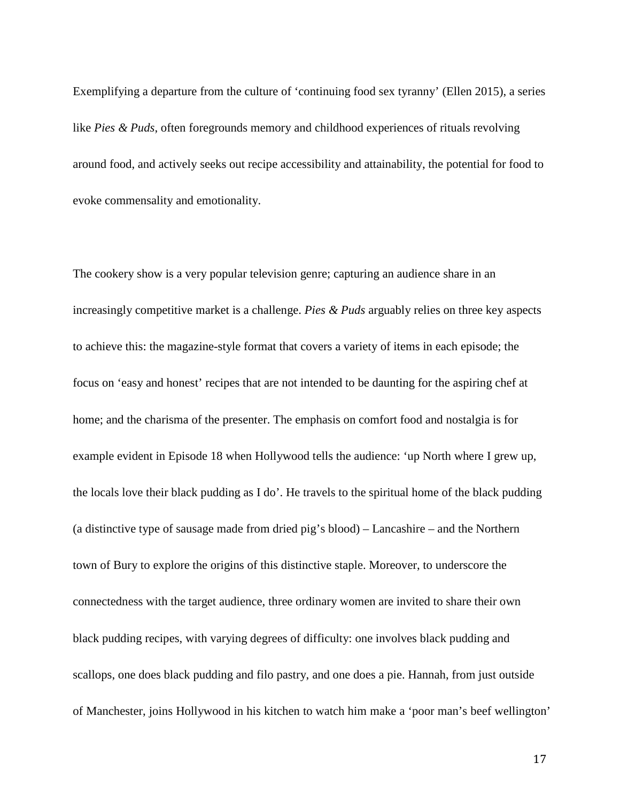Exemplifying a departure from the culture of 'continuing food sex tyranny' (Ellen 2015), a series like *Pies & Puds*, often foregrounds memory and childhood experiences of rituals revolving around food, and actively seeks out recipe accessibility and attainability, the potential for food to evoke commensality and emotionality.

The cookery show is a very popular television genre; capturing an audience share in an increasingly competitive market is a challenge. *Pies & Puds* arguably relies on three key aspects to achieve this: the magazine-style format that covers a variety of items in each episode; the focus on 'easy and honest' recipes that are not intended to be daunting for the aspiring chef at home; and the charisma of the presenter. The emphasis on comfort food and nostalgia is for example evident in Episode 18 when Hollywood tells the audience: 'up North where I grew up, the locals love their black pudding as I do'. He travels to the spiritual home of the black pudding (a distinctive type of sausage made from dried pig's blood) – Lancashire – and the Northern town of Bury to explore the origins of this distinctive staple. Moreover, to underscore the connectedness with the target audience, three ordinary women are invited to share their own black pudding recipes, with varying degrees of difficulty: one involves black pudding and scallops, one does black pudding and filo pastry, and one does a pie. Hannah, from just outside of Manchester, joins Hollywood in his kitchen to watch him make a 'poor man's beef wellington'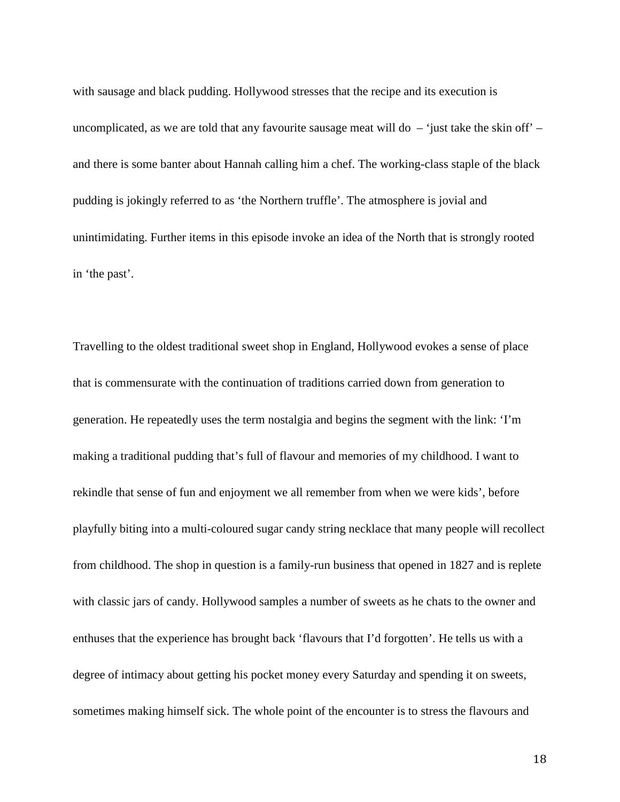with sausage and black pudding. Hollywood stresses that the recipe and its execution is uncomplicated, as we are told that any favourite sausage meat will do  $-$  'just take the skin off' – and there is some banter about Hannah calling him a chef. The working-class staple of the black pudding is jokingly referred to as 'the Northern truffle'. The atmosphere is jovial and unintimidating. Further items in this episode invoke an idea of the North that is strongly rooted in 'the past'.

Travelling to the oldest traditional sweet shop in England, Hollywood evokes a sense of place that is commensurate with the continuation of traditions carried down from generation to generation. He repeatedly uses the term nostalgia and begins the segment with the link: 'I'm making a traditional pudding that's full of flavour and memories of my childhood. I want to rekindle that sense of fun and enjoyment we all remember from when we were kids', before playfully biting into a multi-coloured sugar candy string necklace that many people will recollect from childhood. The shop in question is a family-run business that opened in 1827 and is replete with classic jars of candy. Hollywood samples a number of sweets as he chats to the owner and enthuses that the experience has brought back 'flavours that I'd forgotten'. He tells us with a degree of intimacy about getting his pocket money every Saturday and spending it on sweets, sometimes making himself sick. The whole point of the encounter is to stress the flavours and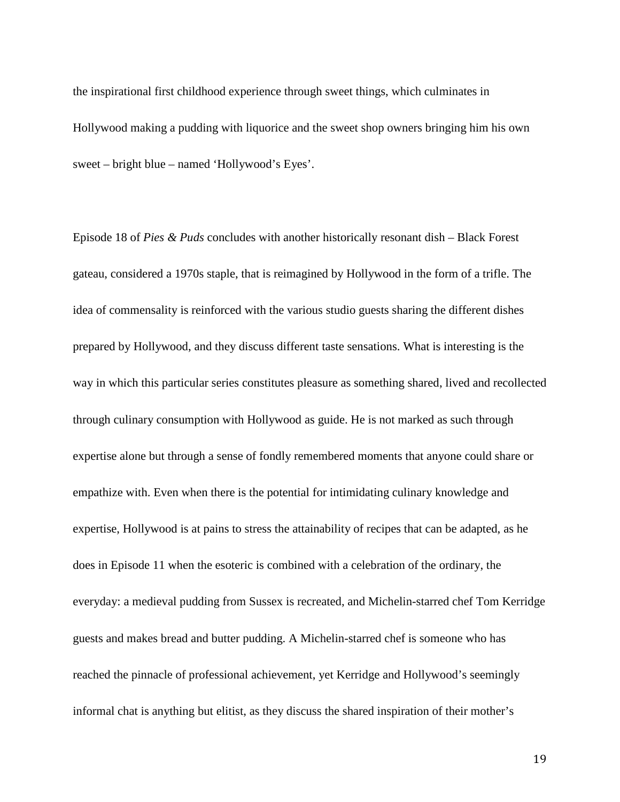the inspirational first childhood experience through sweet things, which culminates in Hollywood making a pudding with liquorice and the sweet shop owners bringing him his own sweet – bright blue – named 'Hollywood's Eyes'.

Episode 18 of *Pies & Puds* concludes with another historically resonant dish – Black Forest gateau, considered a 1970s staple, that is reimagined by Hollywood in the form of a trifle. The idea of commensality is reinforced with the various studio guests sharing the different dishes prepared by Hollywood, and they discuss different taste sensations. What is interesting is the way in which this particular series constitutes pleasure as something shared, lived and recollected through culinary consumption with Hollywood as guide. He is not marked as such through expertise alone but through a sense of fondly remembered moments that anyone could share or empathize with. Even when there is the potential for intimidating culinary knowledge and expertise, Hollywood is at pains to stress the attainability of recipes that can be adapted, as he does in Episode 11 when the esoteric is combined with a celebration of the ordinary, the everyday: a medieval pudding from Sussex is recreated, and Michelin-starred chef Tom Kerridge guests and makes bread and butter pudding. A Michelin-starred chef is someone who has reached the pinnacle of professional achievement, yet Kerridge and Hollywood's seemingly informal chat is anything but elitist, as they discuss the shared inspiration of their mother's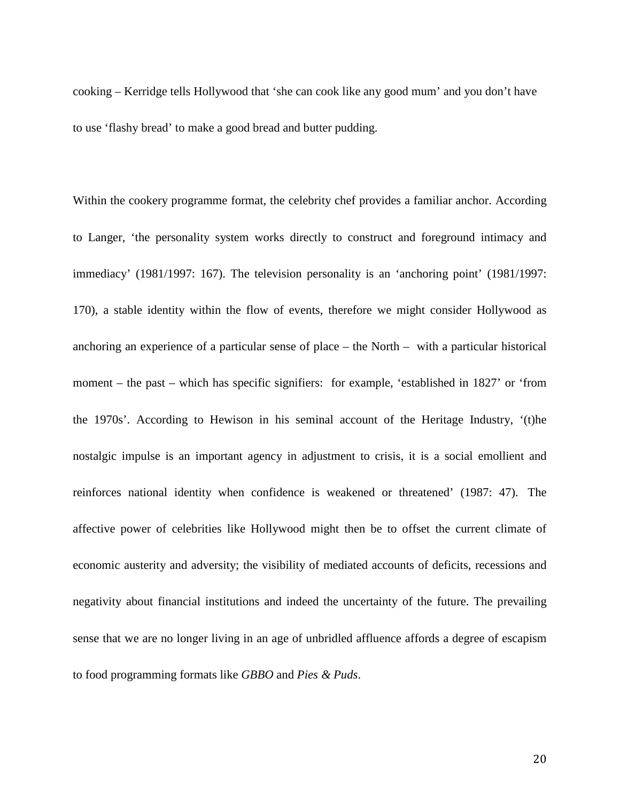cooking – Kerridge tells Hollywood that 'she can cook like any good mum' and you don't have to use 'flashy bread' to make a good bread and butter pudding.

Within the cookery programme format, the celebrity chef provides a familiar anchor. According to Langer, 'the personality system works directly to construct and foreground intimacy and immediacy' (1981/1997: 167). The television personality is an 'anchoring point' (1981/1997: 170), a stable identity within the flow of events, therefore we might consider Hollywood as anchoring an experience of a particular sense of place – the North – with a particular historical moment – the past – which has specific signifiers: for example, 'established in 1827' or 'from the 1970s'. According to Hewison in his seminal account of the Heritage Industry, '(t)he nostalgic impulse is an important agency in adjustment to crisis, it is a social emollient and reinforces national identity when confidence is weakened or threatened' (1987: 47). The affective power of celebrities like Hollywood might then be to offset the current climate of economic austerity and adversity; the visibility of mediated accounts of deficits, recessions and negativity about financial institutions and indeed the uncertainty of the future. The prevailing sense that we are no longer living in an age of unbridled affluence affords a degree of escapism to food programming formats like *GBBO* and *Pies & Puds*.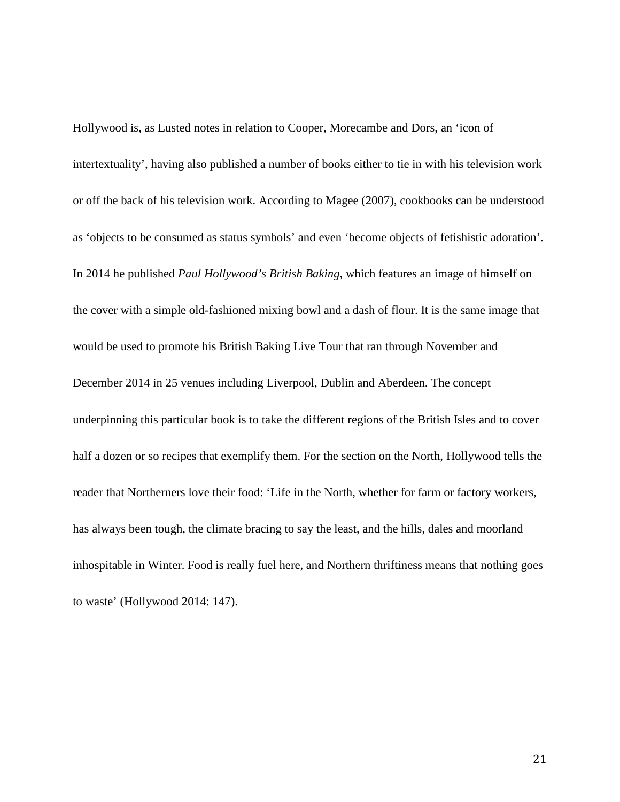Hollywood is, as Lusted notes in relation to Cooper, Morecambe and Dors, an 'icon of intertextuality', having also published a number of books either to tie in with his television work or off the back of his television work. According to Magee (2007), cookbooks can be understood as 'objects to be consumed as status symbols' and even 'become objects of fetishistic adoration'. In 2014 he published *Paul Hollywood's British Baking*, which features an image of himself on the cover with a simple old-fashioned mixing bowl and a dash of flour. It is the same image that would be used to promote his British Baking Live Tour that ran through November and December 2014 in 25 venues including Liverpool, Dublin and Aberdeen. The concept underpinning this particular book is to take the different regions of the British Isles and to cover half a dozen or so recipes that exemplify them. For the section on the North, Hollywood tells the reader that Northerners love their food: 'Life in the North, whether for farm or factory workers, has always been tough, the climate bracing to say the least, and the hills, dales and moorland inhospitable in Winter. Food is really fuel here, and Northern thriftiness means that nothing goes to waste' (Hollywood 2014: 147).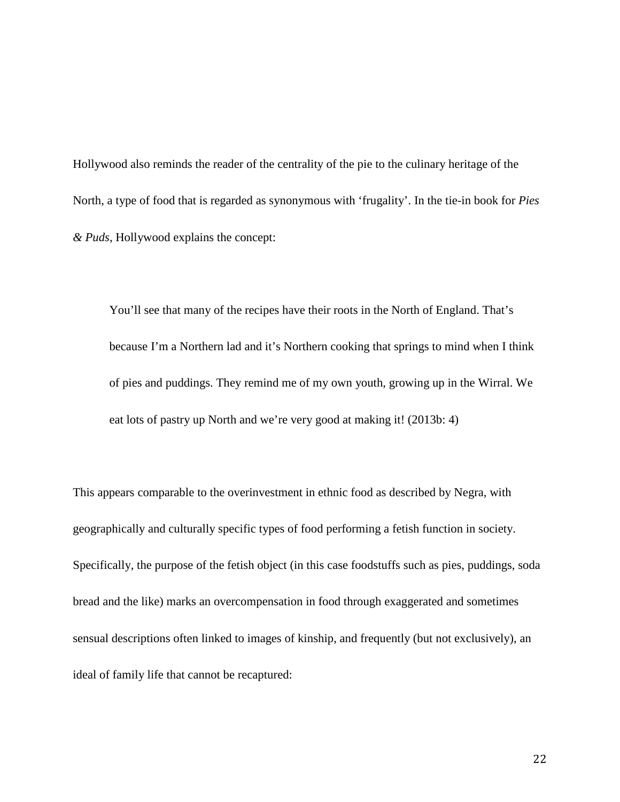Hollywood also reminds the reader of the centrality of the pie to the culinary heritage of the North, a type of food that is regarded as synonymous with 'frugality'. In the tie-in book for *Pies & Puds*, Hollywood explains the concept:

You'll see that many of the recipes have their roots in the North of England. That's because I'm a Northern lad and it's Northern cooking that springs to mind when I think of pies and puddings. They remind me of my own youth, growing up in the Wirral. We eat lots of pastry up North and we're very good at making it! (2013b: 4)

This appears comparable to the overinvestment in ethnic food as described by Negra, with geographically and culturally specific types of food performing a fetish function in society. Specifically, the purpose of the fetish object (in this case foodstuffs such as pies, puddings, soda bread and the like) marks an overcompensation in food through exaggerated and sometimes sensual descriptions often linked to images of kinship, and frequently (but not exclusively), an ideal of family life that cannot be recaptured: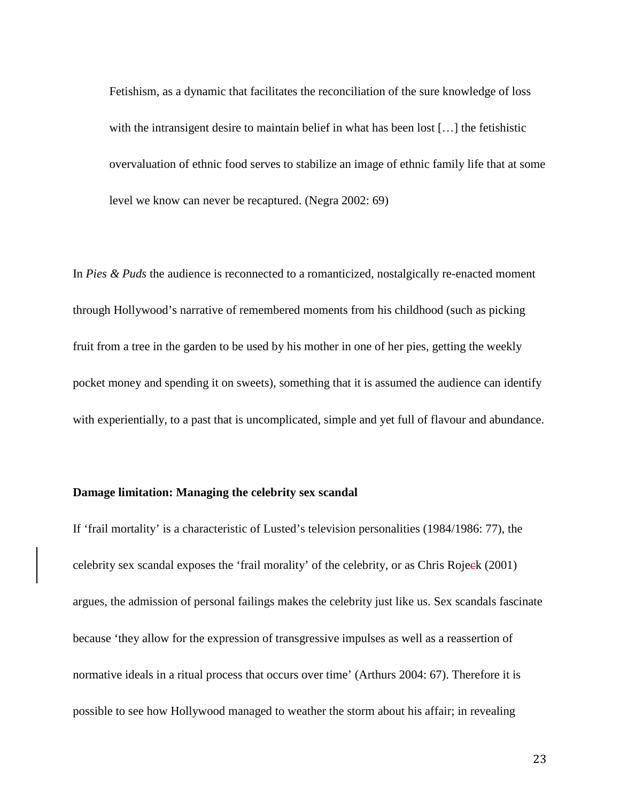Fetishism, as a dynamic that facilitates the reconciliation of the sure knowledge of loss with the intransigent desire to maintain belief in what has been lost [...] the fetishistic overvaluation of ethnic food serves to stabilize an image of ethnic family life that at some level we know can never be recaptured. (Negra 2002: 69)

In *Pies & Puds* the audience is reconnected to a romanticized, nostalgically re-enacted moment through Hollywood's narrative of remembered moments from his childhood (such as picking fruit from a tree in the garden to be used by his mother in one of her pies, getting the weekly pocket money and spending it on sweets), something that it is assumed the audience can identify with experientially, to a past that is uncomplicated, simple and yet full of flavour and abundance.

#### **Damage limitation: Managing the celebrity sex scandal**

If 'frail mortality' is a characteristic of Lusted's television personalities (1984/1986: 77), the celebrity sex scandal exposes the 'frail morality' of the celebrity, or as Chris Rojeck (2001) argues, the admission of personal failings makes the celebrity just like us. Sex scandals fascinate because 'they allow for the expression of transgressive impulses as well as a reassertion of normative ideals in a ritual process that occurs over time' (Arthurs 2004: 67). Therefore it is possible to see how Hollywood managed to weather the storm about his affair; in revealing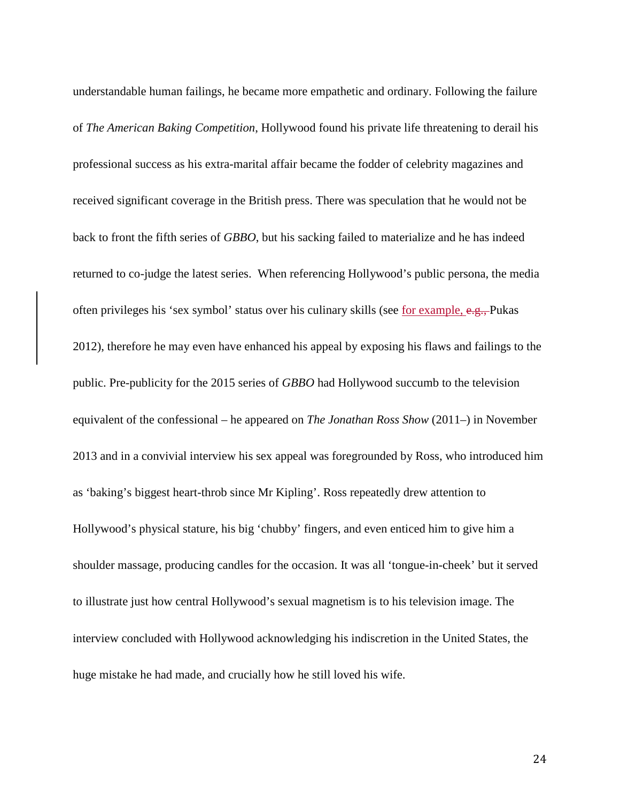understandable human failings, he became more empathetic and ordinary. Following the failure of *The American Baking Competition*, Hollywood found his private life threatening to derail his professional success as his extra-marital affair became the fodder of celebrity magazines and received significant coverage in the British press. There was speculation that he would not be back to front the fifth series of *GBBO*, but his sacking failed to materialize and he has indeed returned to co-judge the latest series. When referencing Hollywood's public persona, the media often privileges his 'sex symbol' status over his culinary skills (see for example, e.g., Pukas 2012), therefore he may even have enhanced his appeal by exposing his flaws and failings to the public. Pre-publicity for the 2015 series of *GBBO* had Hollywood succumb to the television equivalent of the confessional – he appeared on *The Jonathan Ross Show* (2011–) in November 2013 and in a convivial interview his sex appeal was foregrounded by Ross, who introduced him as 'baking's biggest heart-throb since Mr Kipling'. Ross repeatedly drew attention to Hollywood's physical stature, his big 'chubby' fingers, and even enticed him to give him a shoulder massage, producing candles for the occasion. It was all 'tongue-in-cheek' but it served to illustrate just how central Hollywood's sexual magnetism is to his television image. The interview concluded with Hollywood acknowledging his indiscretion in the United States, the huge mistake he had made, and crucially how he still loved his wife.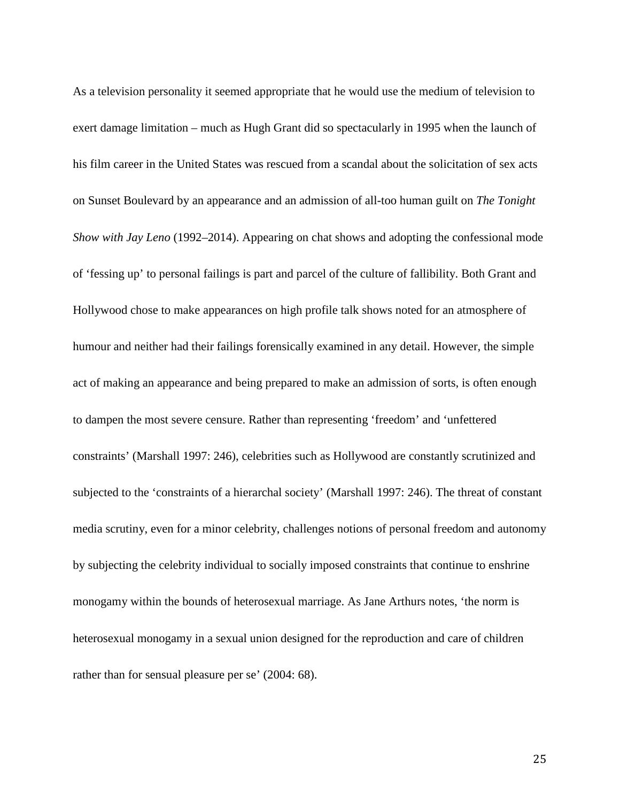As a television personality it seemed appropriate that he would use the medium of television to exert damage limitation – much as Hugh Grant did so spectacularly in 1995 when the launch of his film career in the United States was rescued from a scandal about the solicitation of sex acts on Sunset Boulevard by an appearance and an admission of all-too human guilt on *The Tonight Show with Jay Leno* (1992–2014). Appearing on chat shows and adopting the confessional mode of 'fessing up' to personal failings is part and parcel of the culture of fallibility. Both Grant and Hollywood chose to make appearances on high profile talk shows noted for an atmosphere of humour and neither had their failings forensically examined in any detail. However, the simple act of making an appearance and being prepared to make an admission of sorts, is often enough to dampen the most severe censure. Rather than representing 'freedom' and 'unfettered constraints' (Marshall 1997: 246), celebrities such as Hollywood are constantly scrutinized and subjected to the 'constraints of a hierarchal society' (Marshall 1997: 246). The threat of constant media scrutiny, even for a minor celebrity, challenges notions of personal freedom and autonomy by subjecting the celebrity individual to socially imposed constraints that continue to enshrine monogamy within the bounds of heterosexual marriage. As Jane Arthurs notes, 'the norm is heterosexual monogamy in a sexual union designed for the reproduction and care of children rather than for sensual pleasure per se' (2004: 68).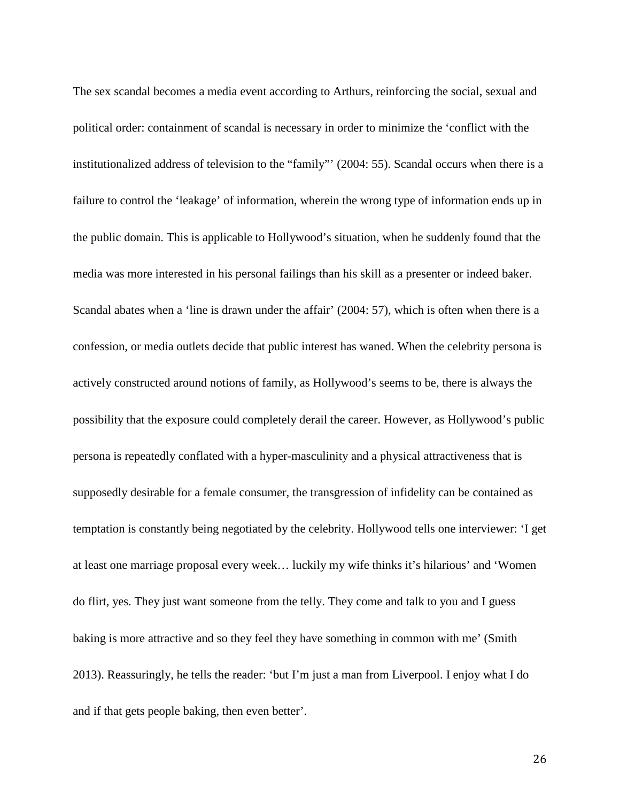The sex scandal becomes a media event according to Arthurs, reinforcing the social, sexual and political order: containment of scandal is necessary in order to minimize the 'conflict with the institutionalized address of television to the "family"' (2004: 55). Scandal occurs when there is a failure to control the 'leakage' of information, wherein the wrong type of information ends up in the public domain. This is applicable to Hollywood's situation, when he suddenly found that the media was more interested in his personal failings than his skill as a presenter or indeed baker. Scandal abates when a 'line is drawn under the affair' (2004: 57), which is often when there is a confession, or media outlets decide that public interest has waned. When the celebrity persona is actively constructed around notions of family, as Hollywood's seems to be, there is always the possibility that the exposure could completely derail the career. However, as Hollywood's public persona is repeatedly conflated with a hyper-masculinity and a physical attractiveness that is supposedly desirable for a female consumer, the transgression of infidelity can be contained as temptation is constantly being negotiated by the celebrity. Hollywood tells one interviewer: 'I get at least one marriage proposal every week… luckily my wife thinks it's hilarious' and 'Women do flirt, yes. They just want someone from the telly. They come and talk to you and I guess baking is more attractive and so they feel they have something in common with me' (Smith 2013). Reassuringly, he tells the reader: 'but I'm just a man from Liverpool. I enjoy what I do and if that gets people baking, then even better'.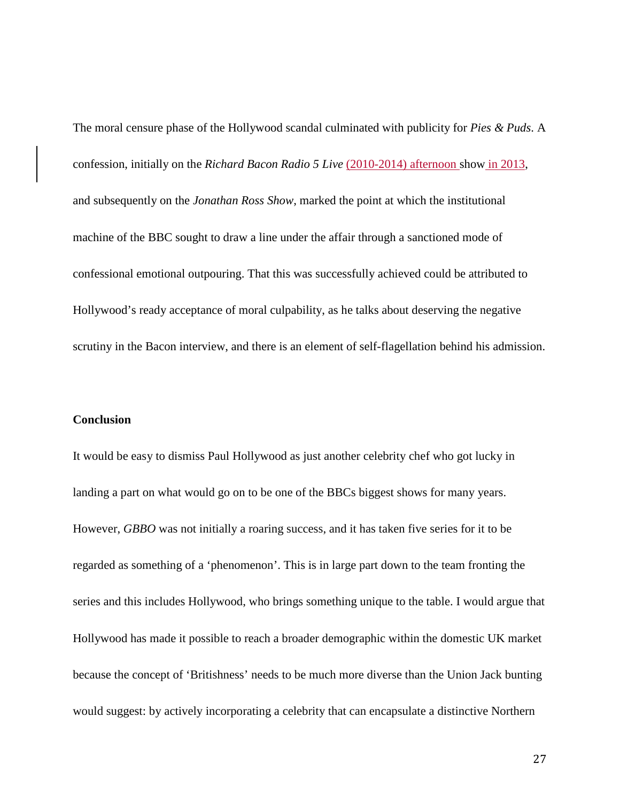The moral censure phase of the Hollywood scandal culminated with publicity for *Pies & Puds*. A confession, initially on the *Richard Bacon Radio 5 Live* (2010-2014) afternoon show in 2013, and subsequently on the *Jonathan Ross Show*, marked the point at which the institutional machine of the BBC sought to draw a line under the affair through a sanctioned mode of confessional emotional outpouring. That this was successfully achieved could be attributed to Hollywood's ready acceptance of moral culpability, as he talks about deserving the negative scrutiny in the Bacon interview, and there is an element of self-flagellation behind his admission.

#### **Conclusion**

It would be easy to dismiss Paul Hollywood as just another celebrity chef who got lucky in landing a part on what would go on to be one of the BBCs biggest shows for many years. However, *GBBO* was not initially a roaring success, and it has taken five series for it to be regarded as something of a 'phenomenon'. This is in large part down to the team fronting the series and this includes Hollywood, who brings something unique to the table. I would argue that Hollywood has made it possible to reach a broader demographic within the domestic UK market because the concept of 'Britishness' needs to be much more diverse than the Union Jack bunting would suggest: by actively incorporating a celebrity that can encapsulate a distinctive Northern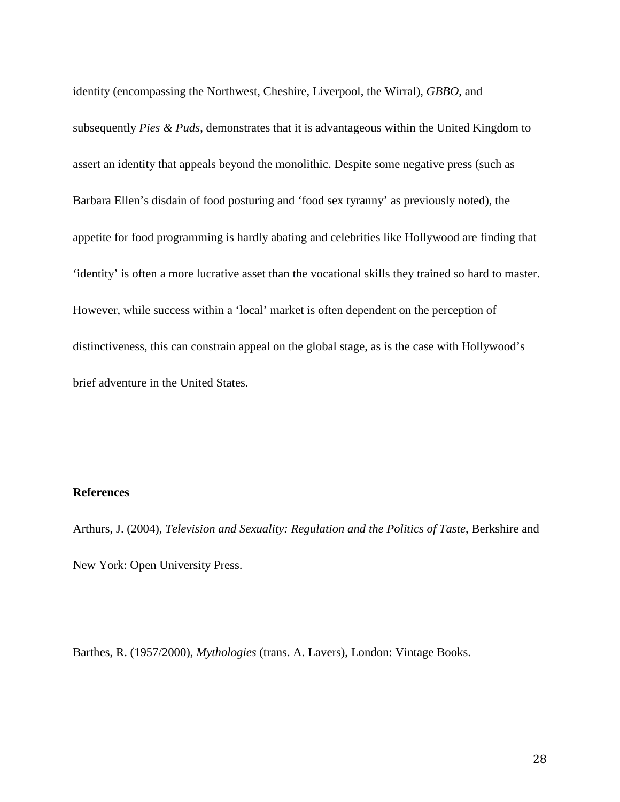identity (encompassing the Northwest, Cheshire, Liverpool, the Wirral), *GBBO*, and subsequently *Pies & Puds*, demonstrates that it is advantageous within the United Kingdom to assert an identity that appeals beyond the monolithic. Despite some negative press (such as Barbara Ellen's disdain of food posturing and 'food sex tyranny' as previously noted), the appetite for food programming is hardly abating and celebrities like Hollywood are finding that 'identity' is often a more lucrative asset than the vocational skills they trained so hard to master. However, while success within a 'local' market is often dependent on the perception of distinctiveness, this can constrain appeal on the global stage, as is the case with Hollywood's brief adventure in the United States.

## **References**

Arthurs, J. (2004), *Television and Sexuality: Regulation and the Politics of Taste*, Berkshire and New York: Open University Press.

Barthes, R. (1957/2000), *Mythologies* (trans. A. Lavers), London: Vintage Books.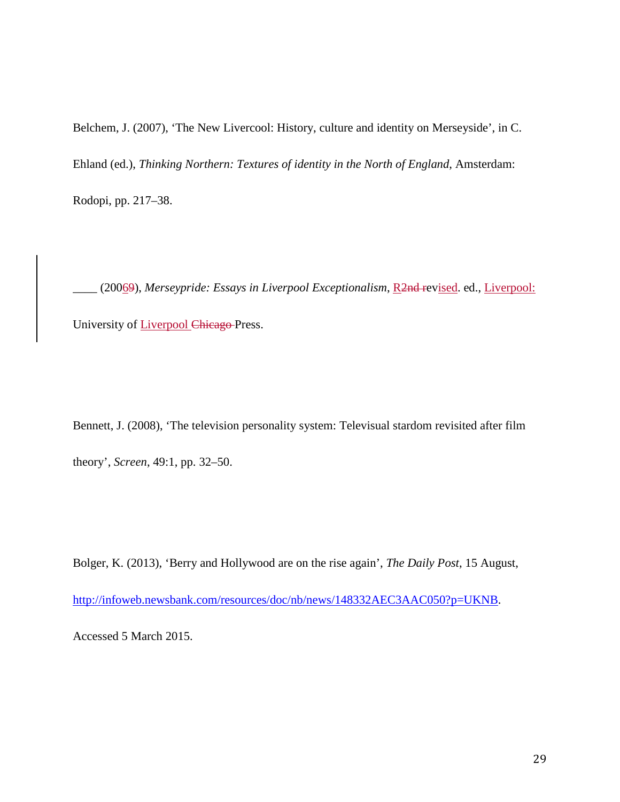Belchem, J. (2007), 'The New Livercool: History, culture and identity on Merseyside', in C. Ehland (ed.), *Thinking Northern: Textures of identity in the North of England*, Amsterdam: Rodopi, pp. 217–38.

\_\_\_\_ (20069), *Merseypride: Essays in Liverpool Exceptionalism*, R2nd revised. ed., Liverpool: University of Liverpool Chicago Press.

Bennett, J. (2008), 'The television personality system: Televisual stardom revisited after film theory', *Screen*, 49:1, pp. 32–50.

Bolger, K. (2013), 'Berry and Hollywood are on the rise again', *The Daily Post*, 15 August,

[http://infoweb.newsbank.com/resources/doc/nb/news/148332AEC3AAC050?p=UKNB.](http://infoweb.newsbank.com/resources/doc/nb/news/148332AEC3AAC050?p=UKNB)

Accessed 5 March 2015.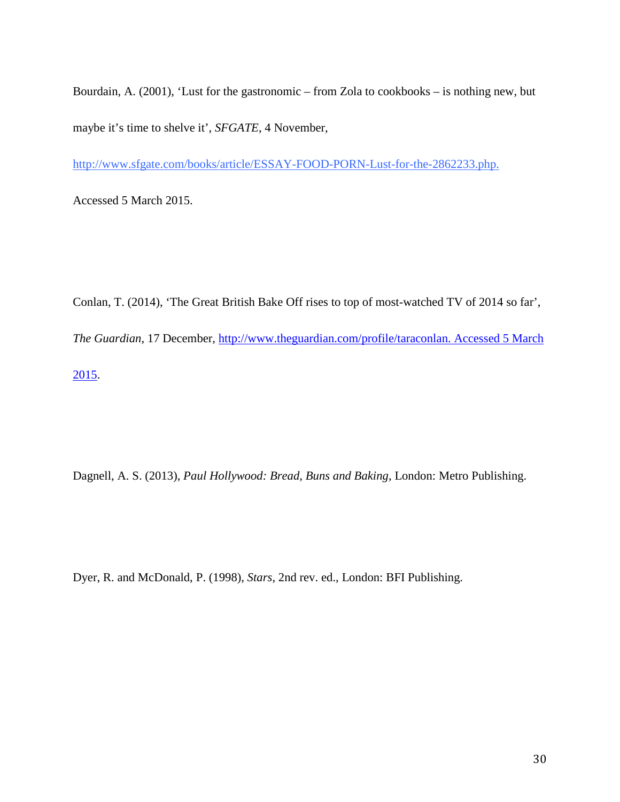Bourdain, A. (2001), 'Lust for the gastronomic – from Zola to cookbooks – is nothing new, but maybe it's time to shelve it', *SFGATE*, 4 November,

[http://www.sfgate.com/books/article/ESSAY-FOOD-PORN-Lust-for-the-2862233.php.](http://www.sfgate.com/books/article/ESSAY-FOOD-PORN-Lust-for-the-2862233.php)

Accessed 5 March 2015.

Conlan, T. (2014), 'The Great British Bake Off rises to top of most-watched TV of 2014 so far', *The Guardian*, 17 December, [http://www.theguardian.com/profile/taraconlan. Accessed 5 March](http://www.theguardian.com/profile/taraconlan.%20Accessed%205%20March%202015)  [2015.](http://www.theguardian.com/profile/taraconlan.%20Accessed%205%20March%202015)

Dagnell, A. S. (2013), *Paul Hollywood: Bread, Buns and Baking*, London: Metro Publishing.

Dyer, R. and McDonald, P. (1998), *Stars*, 2nd rev. ed., London: BFI Publishing.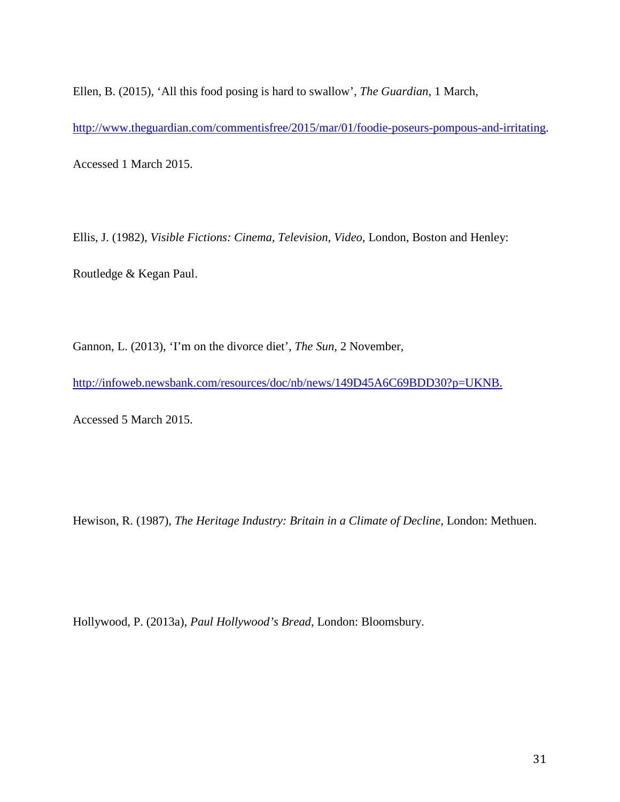Ellen, B. (2015), 'All this food posing is hard to swallow', *The Guardian*, 1 March,

[http://www.theguardian.com/commentisfree/2015/mar/01/foodie-poseurs-pompous-and-irritating.](http://www.theguardian.com/commentisfree/2015/mar/01/foodie-poseurs-pompous-and-irritating)

Accessed 1 March 2015.

Ellis, J. (1982), *Visible Fictions: Cinema, Television, Video*, London, Boston and Henley:

Routledge & Kegan Paul.

Gannon, L. (2013), 'I'm on the divorce diet', *The Sun*, 2 November,

[http://infoweb.newsbank.com/resources/doc/nb/news/149D45A6C69BDD30?p=UKNB.](http://infoweb.newsbank.com/resources/doc/nb/news/149D45A6C69BDD30?p=UKNB)

Accessed 5 March 2015.

Hewison, R. (1987), *The Heritage Industry: Britain in a Climate of Decline*, London: Methuen.

Hollywood, P. (2013a), *Paul Hollywood's Bread*, London: Bloomsbury.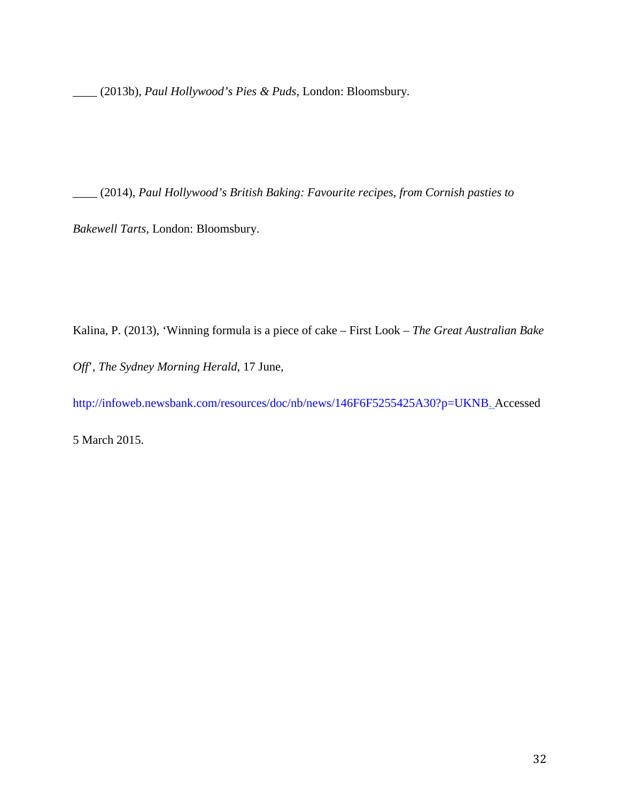\_\_\_\_ (2013b), *Paul Hollywood's Pies & Puds*, London: Bloomsbury.

\_\_\_\_ (2014), *Paul Hollywood's British Baking: Favourite recipes, from Cornish pasties to* 

*Bakewell Tarts*, London: Bloomsbury.

Kalina, P. (2013), 'Winning formula is a piece of cake – First Look – *The Great Australian Bake* 

*Off*', *The Sydney Morning Herald*, 17 June,

[http://infoweb.newsbank.com/resources/doc/nb/news/146F6F5255425A30?p=UKNB.](http://infoweb.newsbank.com/resources/doc/nb/news/146F6F5255425A30?p=UKNB) Accessed

5 March 2015.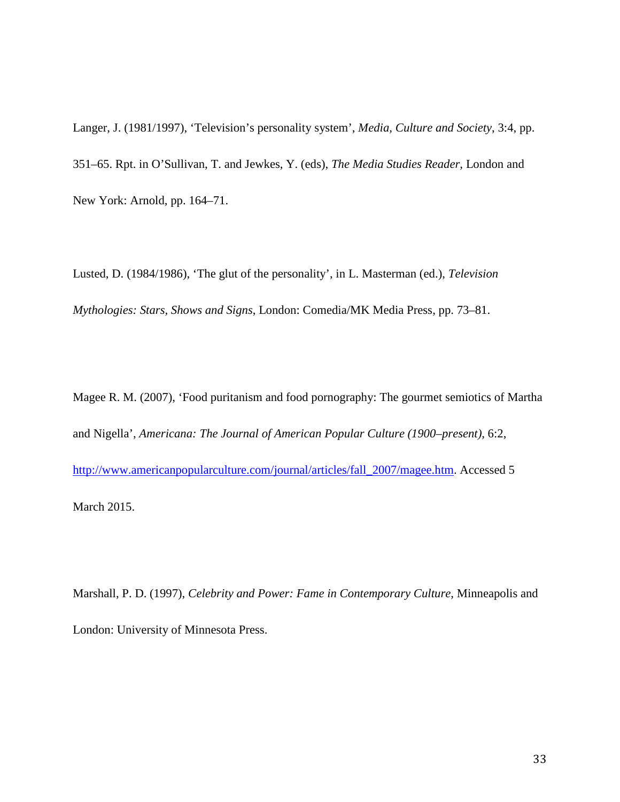Langer, J. (1981/1997), 'Television's personality system', *Media, Culture and Society*, 3:4, pp. 351–65. Rpt. in O'Sullivan, T. and Jewkes, Y. (eds), *The Media Studies Reader*, London and New York: Arnold, pp. 164–71.

Lusted, D. (1984/1986), 'The glut of the personality', in L. Masterman (ed.), *Television Mythologies: Stars, Shows and Signs*, London: Comedia/MK Media Press, pp. 73–81.

Magee R. M. (2007), 'Food puritanism and food pornography: The gourmet semiotics of Martha and Nigella', *Americana: The Journal of American Popular Culture (1900–present)*, 6:2, [http://www.americanpopularculture.com/journal/articles/fall\\_2007/magee.htm.](http://www.americanpopularculture.com/journal/articles/fall_2007/magee.htm) Accessed 5 March 2015.

Marshall, P. D. (1997), *Celebrity and Power: Fame in Contemporary Culture*, Minneapolis and London: University of Minnesota Press.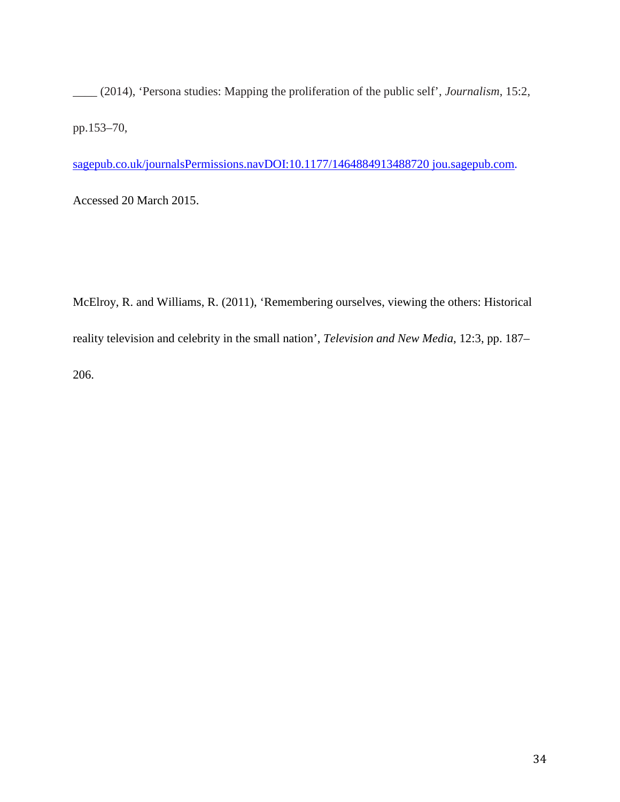\_\_\_\_ (2014), 'Persona studies: Mapping the proliferation of the public self', *Journalism*, 15:2, pp.153–70,

sagepub.co.uk/journalsPermissions.navDOI:10.1177/1464884913488720 jou.sagepub.com.

Accessed 20 March 2015.

McElroy, R. and Williams, R. (2011), 'Remembering ourselves, viewing the others: Historical reality television and celebrity in the small nation', *Television and New Media*, 12:3, pp. 187– 206.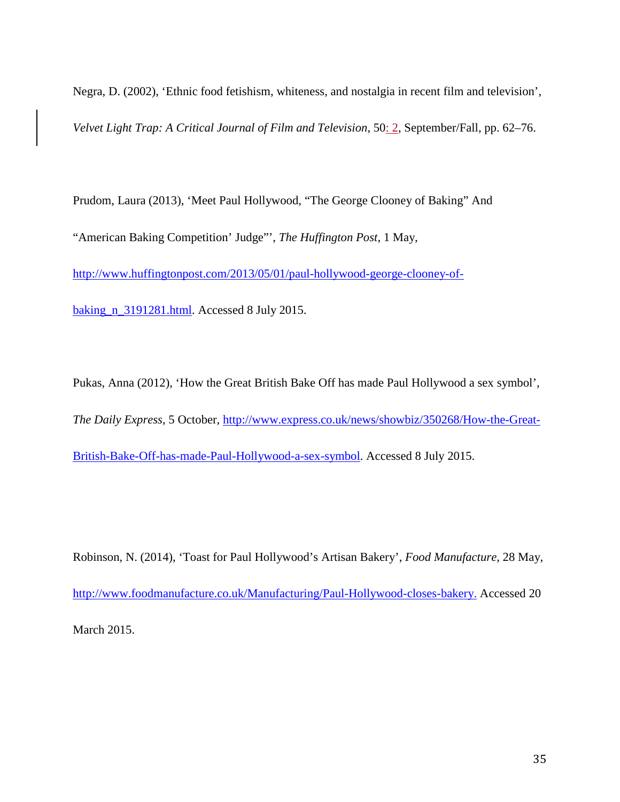Negra, D. (2002), 'Ethnic food fetishism, whiteness, and nostalgia in recent film and television',

*Velvet Light Trap: A Critical Journal of Film and Television*, 50: 2, September/Fall, pp. 62–76.

Prudom, Laura (2013), 'Meet Paul Hollywood, "The George Clooney of Baking" And "American Baking Competition' Judge"', *The Huffington Post*, 1 May, [http://www.huffingtonpost.com/2013/05/01/paul-hollywood-george-clooney-of](http://www.huffingtonpost.com/2013/05/01/paul-hollywood-george-clooney-of-baking_n_3191281.html)[baking\\_n\\_3191281.html.](http://www.huffingtonpost.com/2013/05/01/paul-hollywood-george-clooney-of-baking_n_3191281.html) Accessed 8 July 2015.

Pukas, Anna (2012), 'How the Great British Bake Off has made Paul Hollywood a sex symbol', *The Daily Express*, 5 October, [http://www.express.co.uk/news/showbiz/350268/How-the-Great-](http://www.express.co.uk/news/showbiz/350268/How-the-Great-British-Bake-Off-has-made-Paul-Hollywood-a-sex-symbol)[British-Bake-Off-has-made-Paul-Hollywood-a-sex-symbol.](http://www.express.co.uk/news/showbiz/350268/How-the-Great-British-Bake-Off-has-made-Paul-Hollywood-a-sex-symbol) Accessed 8 July 2015.

Robinson, N. (2014), 'Toast for Paul Hollywood's Artisan Bakery', *Food Manufacture*, 28 May, [http://www.foodmanufacture.co.uk/Manufacturing/Paul-Hollywood-closes-bakery.](http://www.foodmanufacture.co.uk/Manufacturing/Paul-Hollywood-closes-bakery) Accessed 20 March 2015.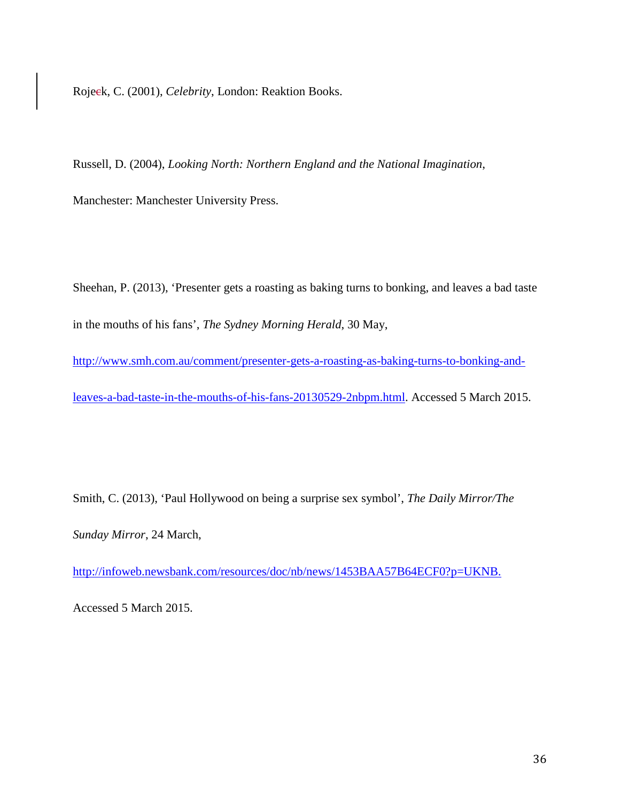Rojeck, C. (2001), *Celebrity*, London: Reaktion Books.

Russell, D. (2004), *Looking North: Northern England and the National Imagination*,

Manchester: Manchester University Press.

Sheehan, P. (2013), 'Presenter gets a roasting as baking turns to bonking, and leaves a bad taste in the mouths of his fans', *The Sydney Morning Herald*, 30 May,

[http://www.smh.com.au/comment/presenter-gets-a-roasting-as-baking-turns-to-bonking-and](http://www.smh.com.au/comment/presenter-gets-a-roasting-as-baking-turns-to-bonking-and-leaves-a-bad-taste-in-the-mouths-of-his-fans-20130529-2nbpm.html)[leaves-a-bad-taste-in-the-mouths-of-his-fans-20130529-2nbpm.html.](http://www.smh.com.au/comment/presenter-gets-a-roasting-as-baking-turns-to-bonking-and-leaves-a-bad-taste-in-the-mouths-of-his-fans-20130529-2nbpm.html) Accessed 5 March 2015.

Smith, C. (2013), 'Paul Hollywood on being a surprise sex symbol', *The Daily Mirror/The* 

*Sunday Mirror*, 24 March,

[http://infoweb.newsbank.com/resources/doc/nb/news/1453BAA57B64ECF0?p=UKNB.](http://infoweb.newsbank.com/resources/doc/nb/news/1453BAA57B64ECF0?p=UKNB)

Accessed 5 March 2015.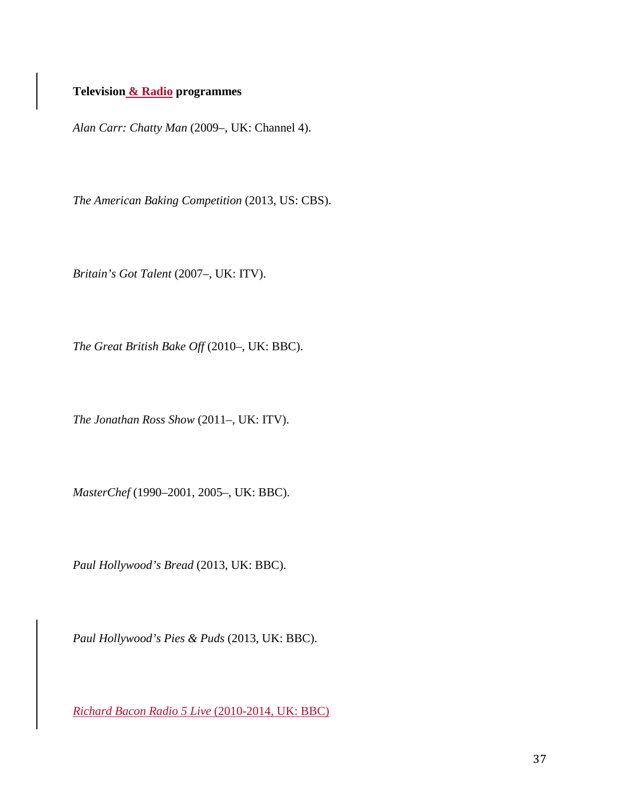# **Television & Radio programmes**

*Alan Carr: Chatty Man* (2009–, UK: Channel 4).

*The American Baking Competition* (2013, US: CBS).

*Britain's Got Talent* (2007–, UK: ITV).

*The Great British Bake Off* (2010–, UK: BBC).

*The Jonathan Ross Show* (2011–, UK: ITV).

*MasterChef* (1990–2001, 2005–, UK: BBC).

*Paul Hollywood's Bread* (2013, UK: BBC).

*Paul Hollywood's Pies & Puds* (2013, UK: BBC).

*Richard Bacon Radio 5 Live* (2010-2014, UK: BBC)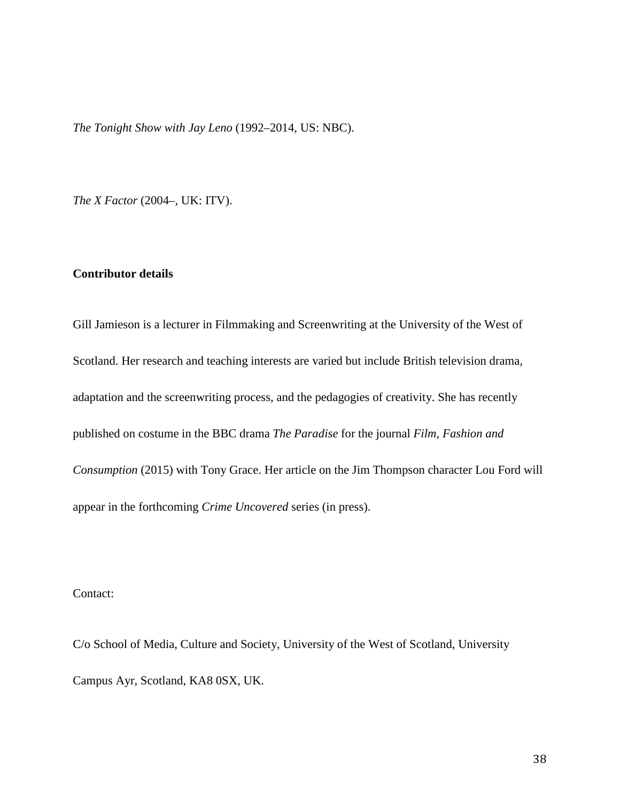*The Tonight Show with Jay Leno* (1992–2014, US: NBC).

*The X Factor* (2004–, UK: ITV).

## **Contributor details**

Gill Jamieson is a lecturer in Filmmaking and Screenwriting at the University of the West of Scotland. Her research and teaching interests are varied but include British television drama, adaptation and the screenwriting process, and the pedagogies of creativity. She has recently published on costume in the BBC drama *The Paradise* for the journal *Film, Fashion and Consumption* (2015) with Tony Grace. Her article on the Jim Thompson character Lou Ford will appear in the forthcoming *Crime Uncovered* series (in press).

Contact:

C/o School of Media, Culture and Society, University of the West of Scotland, University Campus Ayr, Scotland, KA8 0SX, UK.